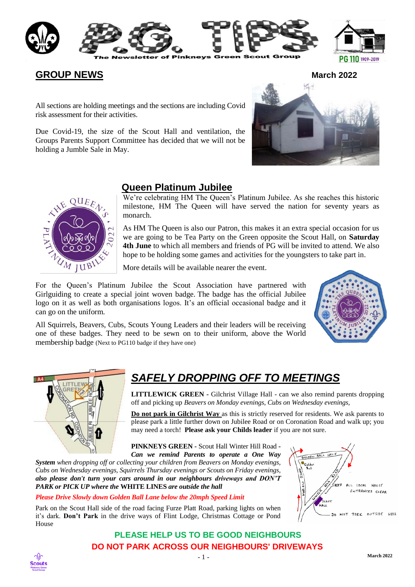



## **GROUP NEWS March** 2022

All sections are holding meetings and the sections are including Covid risk assessment for their activities.

Due Covid-19, the size of the Scout Hall and ventilation, the Groups Parents Support Committee has decided that we will not be holding a Jumble Sale in May.





## **Queen Platinum Jubilee**

We're celebrating HM The Queen's Platinum Jubilee. As she reaches this historic milestone, HM The Queen will have served the nation for seventy years as monarch.

As HM The Queen is also our Patron, this makes it an extra special occasion for us we are going to be Tea Party on the Green opposite the Scout Hall, on **Saturday 4th June** to which all members and friends of PG will be invited to attend. We also hope to be holding some games and activities for the youngsters to take part in.

More details will be available nearer the event.

For the Queen's Platinum Jubilee the Scout Association have partnered with Girlguiding to create a special joint woven badge. The badge has the official Jubilee logo on it as well as both organisations logos. It's an official occasional badge and it can go on the uniform.

All Squirrels, Beavers, Cubs, Scouts Young Leaders and their leaders will be receiving one of these badges. They need to be sewn on to their uniform, above the World membership badge (Next to PG110 badge if they have one)





# *SAFELY DROPPING OFF TO MEETINGS*

**LITTLEWICK GREEN -** Gilchrist Village Hall - can we also remind parents dropping off and picking up *Beavers on Monday evenings, Cubs on Wednesday evenings,*

**Do not park in Gilchrist Way** as this is strictly reserved for residents. We ask parents to please park a little further down on Jubilee Road or on Coronation Road and walk up; you may need a torch! **Please ask your Childs leader** if you are not sure.

**PINKNEYS GREEN -** Scout Hall Winter Hill Road *- Can we remind Parents to operate a One Way* 

*System when dropping off or collecting your children from Beavers on Monday evenings, Cubs on Wednesday evenings, Squirrels Thursday evenings or Scouts on Friday evenings, also please don't turn your cars around in our neighbours driveways and DON'T PARK or PICK UP where the* **WHITE LINES** *are outside the hall* 

#### *Please Drive Slowly down Golden Ball Lane below the 20mph Speed Limit*

Park on the Scout Hall side of the road facing Furze Platt Road, parking lights on when it's dark. **Don't Park** in the drive ways of Flint Lodge, Christmas Cottage or Pond House



### **PLEASE HELP US TO BE GOOD NEIGHBOURS DO NOT PARK ACROSS OUR NEIGHBOURS' DRIVEWAYS**

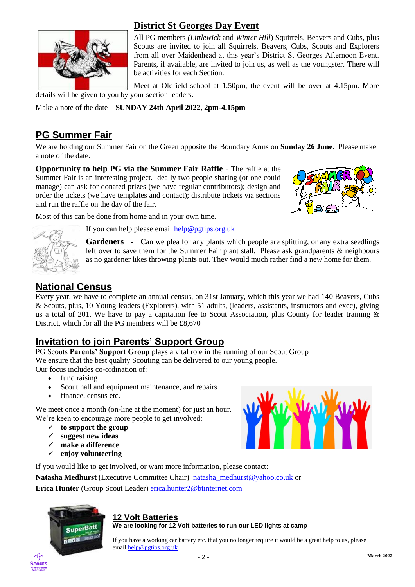

## **District St Georges Day Event**

All PG members *(Littlewick* and *Winter Hill*) Squirrels, Beavers and Cubs, plus Scouts are invited to join all Squirrels, Beavers, Cubs, Scouts and Explorers from all over Maidenhead at this year's District St Georges Afternoon Event. Parents, if available, are invited to join us, as well as the youngster. There will be activities for each Section.

Meet at Oldfield school at 1.50pm, the event will be over at 4.15pm. More details will be given to you by your section leaders.

Make a note of the date – **SUNDAY 24th April 2022, 2pm-4.15pm**

# **PG Summer Fair**

We are holding our Summer Fair on the Green opposite the Boundary Arms on **Sunday 26 June**. Please make a note of the date.

**Opportunity to help PG via the Summer Fair Raffle** - The raffle at the Summer Fair is an interesting project. Ideally two people sharing (or one could manage) can ask for donated prizes (we have regular contributors); design and order the tickets (we have templates and contact); distribute tickets via sections and run the raffle on the day of the fair.





If you can help please email [help@pgtips.org.uk](mailto:help@pgtips.org.uk)

**Gardeners - C**an we plea for any plants which people are splitting, or any extra seedlings left over to save them for the Summer Fair plant stall. Please ask grandparents & neighbours as no gardener likes throwing plants out. They would much rather find a new home for them.

## **National Census**

Every year, we have to complete an annual census, on 31st January, which this year we had 140 Beavers, Cubs & Scouts, plus, 10 Young leaders (Explorers), with 51 adults, (leaders, assistants, instructors and exec), giving us a total of 201. We have to pay a capitation fee to Scout Association, plus County for leader training & District, which for all the PG members will be £8,670

# **Invitation to join Parents' Support Group**

PG Scouts **Parents' Support Group** plays a vital role in the running of our Scout Group We ensure that the best quality Scouting can be delivered to our young people. Our focus includes co-ordination of:

- fund raising
- Scout hall and equipment maintenance, and repairs
- finance, census etc.

We meet once a month (on-line at the moment) for just an hour. We're keen to encourage more people to get involved:

- **to support the group**
- **suggest new ideas**
- **make a difference**
- **enjoy volunteering**

If you would like to get involved, or want more information, please contact:

**Natasha Medhurst** (Executive Committee Chair) [natasha\\_medhurst@yahoo.co.uk](mailto:natasha_medhurst@yahoo.co.uk) or **Erica Hunter** (Group Scout Leader) [erica.hunter2@btinternet.com](mailto:erica.hunter@btinternet.com)



### **12 Volt Batteries**

**We are looking for 12 Volt batteries to run our LED lights at camp**

If you have a working car battery etc. that you no longer require it would be a great help to us, please emai[l help@pgtips.org.uk](mailto:help@pgtips.org.uk)



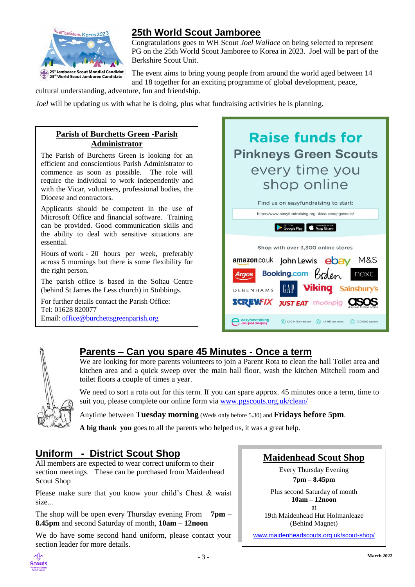

## **25th World Scout Jamboree**

Congratulations goes to WH Scout *Joel Wallace* on being selected to represent PG on the 25th World Scout Jamboree to Korea in 2023. Joel will be part of the Berkshire Scout Unit.

The event aims to bring young people from around the world aged between 14 and 18 together for an exciting programme of global development, peace,

cultural understanding, adventure, fun and friendship.

*Joel* will be updating us with what he is doing, plus what fundraising activities he is planning.

### **Parish of Burchetts Green -Parish Administrator**

The Parish of Burchetts Green is looking for an efficient and conscientious Parish Administrator to commence as soon as possible. The role will require the individual to work independently and with the Vicar, volunteers, professional bodies, the Diocese and contractors.

Applicants should be competent in the use of Microsoft Office and financial software. Training can be provided. Good communication skills and the ability to deal with sensitive situations are essential.

Hours of work - 20 hours per week, preferably across 5 mornings but there is some flexibility for the right person.

The parish office is based in the Soltau Centre (behind St James the Less church) in Stubbings.

For further details contact the Parish Office: Tel: 01628 820077 Email: [office@burchettsgreenparish.org](mailto:office@burchettsgreenparish.org)





# **Parents – Can you spare 45 Minutes - Once a term**

We are looking for more parents volunteers to join a Parent Rota to clean the hall Toilet area and kitchen area and a quick sweep over the main hall floor, wash the kitchen Mitchell room and toilet floors a couple of times a year.

We need to sort a rota out for this term. If you can spare approx. 45 minutes once a term, time to suit you, please complete our online form via [www.pgscouts.org.uk/clean/](http://www.pgscouts.org.uk/clean/)

Anytime between **Tuesday morning** (Weds only before 5.30) and **Fridays before 5pm**.

**A big thank you** goes to all the parents who helped us, it was a great help.

# **Uniform - District Scout Shop**

All members are expected to wear correct uniform to their section meetings. These can be purchased from Maidenhead Scout Shop

Please make sure that you know your child's Chest & waist size.*..*

The shop will be open every Thursday evening From **7pm – 8.45pm** and second Saturday of month, **10am – 12noon**

We do have some second hand uniform, please contact your section leader for more details.

## **Maidenhead Scout Shop**

Every Thursday Evening **7pm – 8.45pm** 

Plus second Saturday of month **10am – 12noon** at 19th Maidenhead Hut Holmanleaze (Behind Magnet)

[www.maidenheadscouts.org.uk/scout-shop/](http://www.maidenheadscouts.org.uk/scout-shop/)

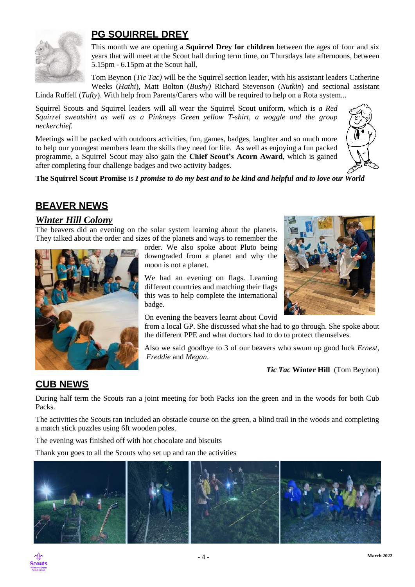

## **PG SQUIRREL DREY**

This month we are opening a **Squirrel Drey for children** between the ages of four and six years that will meet at the Scout hall during term time, on Thursdays late afternoons, between 5.15pm - 6.15pm at the Scout hall,

Tom Beynon (*Tic Tac)* will be the Squirrel section leader, with his assistant leaders Catherine Weeks (*Hathi*), Matt Bolton (*Bushy)* Richard Stevenson (*Nutkin*) and sectional assistant

Linda Ruffell (*Tufty*). With help from Parents/Carers who will be required to help on a Rota system...

Squirrel Scouts and Squirrel leaders will all wear the Squirrel Scout uniform, which is *a Red Squirrel sweatshirt as well as a Pinkneys Green yellow T-shirt, a woggle and the group neckerchief.*

Meetings will be packed with outdoors activities, fun, games, badges, laughter and so much more to help our youngest members learn the skills they need for life. As well as enjoying a fun packed programme, a Squirrel Scout may also gain the **Chief Scout's Acorn Award**, which is gained after completing four challenge badges and two activity badges.



**The Squirrel Scout Promise** is *I promise to do my best and to be kind and helpful and to love our World*

## **BEAVER NEWS**

### *Winter Hill Colony*

The beavers did an evening on the solar system learning about the planets. They talked about the order and sizes of the planets and ways to remember the



order. We also spoke about Pluto being downgraded from a planet and why the moon is not a planet.

We had an evening on flags. Learning different countries and matching their flags this was to help complete the international badge.



On evening the beavers learnt about Covid

from a local GP. She discussed what she had to go through. She spoke about the different PPE and what doctors had to do to protect themselves.

Also we said goodbye to 3 of our beavers who swum up good luck *Ernest, Freddie* and *Megan*.

*Tic Tac* **Winter Hill** (Tom Beynon)

# **CUB NEWS**

During half term the Scouts ran a joint meeting for both Packs ion the green and in the woods for both Cub Packs.

The activities the Scouts ran included an obstacle course on the green, a blind trail in the woods and completing a match stick puzzles using 6ft wooden poles.

The evening was finished off with hot chocolate and biscuits

Thank you goes to all the Scouts who set up and ran the activities